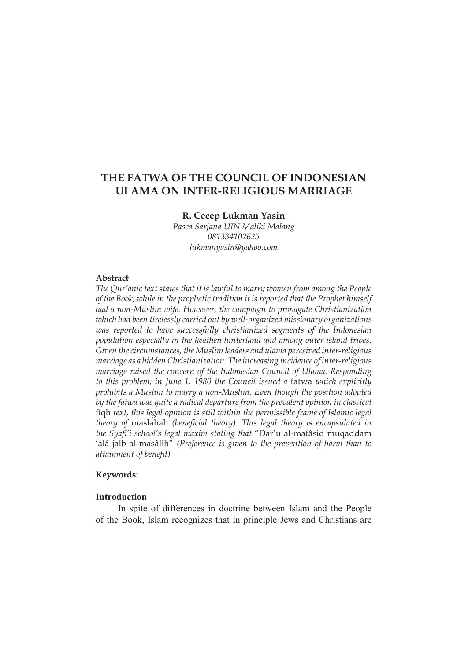# **THE FATWA OF THE COUNCIL OF INDONESIAN ULAMA ON INTER-RELIGIOUS MARRIAGE**

# **R. Cecep Lukman Yasin**

*Pasca Sarjana UIN Maliki Malang 081334102625 lukmanyasin@yahoo.com*

# **Abstract**

*The Qur'anic text states that it is lawful to marry women from among the People of the Book, while in the prophetic tradition it is reported that the Prophet himself had a non-Muslim wife. However, the campaign to propagate Christianization which had been tirelessly carried out by well-organized missionary organizations was reported to have successfully christianized segments of the Indonesian population especially in the heathen hinterland and among outer island tribes. Given the circumstances, the Muslim leaders and ulama perceived inter-religious marriage as a hidden Christianization. The increasing incidence of inter-religious marriage raised the concern of the Indonesian Council of Ulama. Responding to this problem, in June 1, 1980 the Council issued a* fatwa *which explicitly prohibits a Muslim to marry a non-Muslim. Even though the position adopted by the fatwa was quite a radical departure from the prevalent opinion in classical* figh text, this legal opinion is still within the permissible frame of Islamic legal *theory of maslahah (beneficial theory). This legal theory is encapsulated in the Syafi'i school's legal maxim stating that "Dar'u al-mafâsid muqaddam* 'alâ jalb al-masâlih" (Preference is given to the prevention of harm than to *attainment of benefit)* 

# **Keywords:**

#### **Introduction**

In spite of differences in doctrine between Islam and the People of the Book, Islam recognizes that in principle Jews and Christians are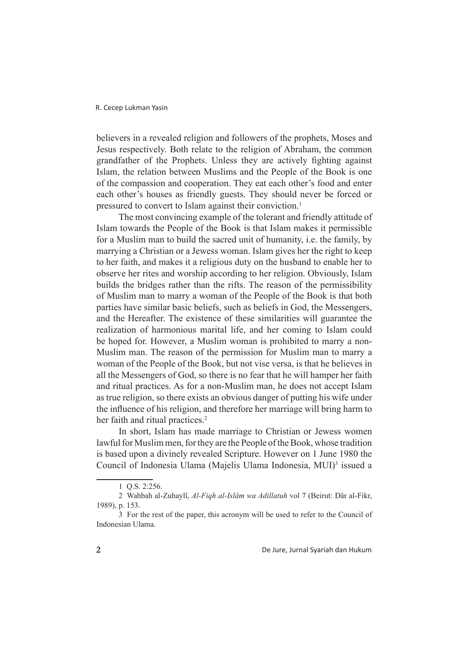believers in a revealed religion and followers of the prophets, Moses and Jesus respectively. Both relate to the religion of Abraham, the common grandfather of the Prophets. Unless they are actively fighting against Islam, the relation between Muslims and the People of the Book is one of the compassion and cooperation. They eat each other's food and enter each other's houses as friendly guests. They should never be forced or pressured to convert to Islam against their conviction.<sup>1</sup>

The most convincing example of the tolerant and friendly attitude of Islam towards the People of the Book is that Islam makes it permissible for a Muslim man to build the sacred unit of humanity, i.e. the family, by marrying a Christian or a Jewess woman. Islam gives her the right to keep to her faith, and makes it a religious duty on the husband to enable her to observe her rites and worship according to her religion. Obviously, Islam builds the bridges rather than the rifts. The reason of the permissibility of Muslim man to marry a woman of the People of the Book is that both parties have similar basic beliefs, such as beliefs in God, the Messengers, and the Hereafter. The existence of these similarities will guarantee the realization of harmonious marital life, and her coming to Islam could be hoped for. However, a Muslim woman is prohibited to marry a non-Muslim man. The reason of the permission for Muslim man to marry a woman of the People of the Book, but not vise versa, is that he believes in all the Messengers of God, so there is no fear that he will hamper her faith and ritual practices. As for a non-Muslim man, he does not accept Islam as true religion, so there exists an obvious danger of putting his wife under the influence of his religion, and therefore her marriage will bring harm to her faith and ritual practices.<sup>2</sup>

In short, Islam has made marriage to Christian or Jewess women lawful for Muslim men, for they are the People of the Book, whose tradition is based upon a divinely revealed Scripture. However on 1 June 1980 the Council of Indonesia Ulama (Majelis Ulama Indonesia, MUI)<sup>3</sup> issued a

<sup>1</sup> Q.S. 2:256.

<sup>2</sup> Wahbah al-Zuhaylî, *Al-Fiqh al-Islâm wa Adillatuh* vol 7 (Beirut: Dâr al-Fikr, 1989), p. 153.

<sup>3</sup> For the rest of the paper, this acronym will be used to refer to the Council of Indonesian Ulama.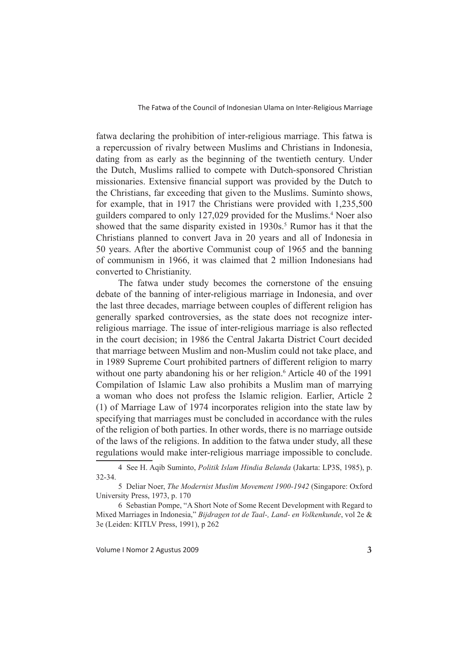fatwa declaring the prohibition of inter-religious marriage. This fatwa is a repercussion of rivalry between Muslims and Christians in Indonesia, dating from as early as the beginning of the twentieth century. Under the Dutch, Muslims rallied to compete with Dutch-sponsored Christian missionaries. Extensive financial support was provided by the Dutch to the Christians, far exceeding that given to the Muslims. Suminto shows, for example, that in 1917 the Christians were provided with 1,235,500 guilders compared to only 127,029 provided for the Muslims.<sup>4</sup> Noer also showed that the same disparity existed in 1930s.<sup>5</sup> Rumor has it that the Christians planned to convert Java in 20 years and all of Indonesia in 50 years. After the abortive Communist coup of 1965 and the banning of communism in 1966, it was claimed that 2 million Indonesians had converted to Christianity.

The fatwa under study becomes the cornerstone of the ensuing debate of the banning of inter-religious marriage in Indonesia, and over the last three decades, marriage between couples of different religion has generally sparked controversies, as the state does not recognize interreligious marriage. The issue of inter-religious marriage is also reflected in the court decision; in 1986 the Central Jakarta District Court decided that marriage between Muslim and non-Muslim could not take place, and in 1989 Supreme Court prohibited partners of different religion to marry without one party abandoning his or her religion.<sup>6</sup> Article 40 of the 1991 Compilation of Islamic Law also prohibits a Muslim man of marrying a woman who does not profess the Islamic religion. Earlier, Article 2 (1) of Marriage Law of 1974 incorporates religion into the state law by specifying that marriages must be concluded in accordance with the rules of the religion of both parties. In other words, there is no marriage outside of the laws of the religions. In addition to the fatwa under study, all these regulations would make inter-religious marriage impossible to conclude.

<sup>4</sup> See H. Aqib Suminto, *Politik Islam Hindia Belanda* (Jakarta: LP3S, 1985), p. 32-34.

<sup>5</sup> Deliar Noer, *The Modernist Muslim Movement 1900-1942* (Singapore: Oxford University Press, 1973, p. 170

<sup>6</sup> Sebastian Pompe, "A Short Note of Some Recent Development with Regard to Mixed Marriages in Indonesia," *Bijdragen tot de Taal-, Land- en Volkenkunde*, vol 2e & 3e (Leiden: KITLV Press, 1991), p 262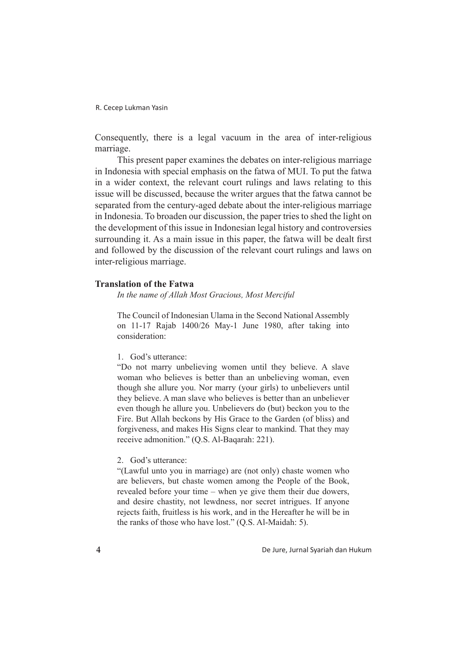Consequently, there is a legal vacuum in the area of inter-religious marriage.

This present paper examines the debates on inter-religious marriage in Indonesia with special emphasis on the fatwa of MUI. To put the fatwa in a wider context, the relevant court rulings and laws relating to this issue will be discussed, because the writer argues that the fatwa cannot be separated from the century-aged debate about the inter-religious marriage in Indonesia. To broaden our discussion, the paper tries to shed the light on the development of this issue in Indonesian legal history and controversies surrounding it. As a main issue in this paper, the fatwa will be dealt first and followed by the discussion of the relevant court rulings and laws on inter-religious marriage.

### **Translation of the Fatwa**

*In the name of Allah Most Gracious, Most Merciful*

The Council of Indonesian Ulama in the Second National Assembly on 11-17 Rajab 1400/26 May-1 June 1980, after taking into consideration:

1. God's utterance:

"Do not marry unbelieving women until they believe. A slave woman who believes is better than an unbelieving woman, even though she allure you. Nor marry (your girls) to unbelievers until they believe. A man slave who believes is better than an unbeliever even though he allure you. Unbelievers do (but) beckon you to the Fire. But Allah beckons by His Grace to the Garden (of bliss) and forgiveness, and makes His Signs clear to mankind. That they may receive admonition." (Q.S. Al-Baqarah: 221).

## 2. God's utterance:

"(Lawful unto you in marriage) are (not only) chaste women who are believers, but chaste women among the People of the Book, revealed before your time – when ye give them their due dowers, and desire chastity, not lewdness, nor secret intrigues. If anyone rejects faith, fruitless is his work, and in the Hereafter he will be in the ranks of those who have lost." (Q.S. Al-Maidah: 5).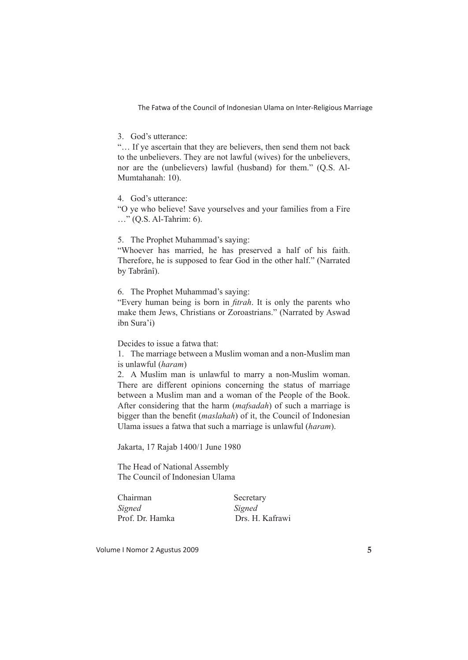3. God's utterance:

"… If ye ascertain that they are believers, then send them not back to the unbelievers. They are not lawful (wives) for the unbelievers, nor are the (unbelievers) lawful (husband) for them." (Q.S. Al-Mumtahanah: 10).

4. God's utterance:

"O ye who believe! Save yourselves and your families from a Fire …" (Q.S. Al-Tahrim: 6).

5. The Prophet Muhammad's saying:

"Whoever has married, he has preserved a half of his faith. Therefore, he is supposed to fear God in the other half." (Narrated by Tabrânî).

6. The Prophet Muhammad's saying:

"Every human being is born in *fitrah*. It is only the parents who make them Jews, Christians or Zoroastrians." (Narrated by Aswad ibn Sura'i)

Decides to issue a fatwa that:

1. The marriage between a Muslim woman and a non-Muslim man is unlawful (*haram*)

2. A Muslim man is unlawful to marry a non-Muslim woman. There are different opinions concerning the status of marriage between a Muslim man and a woman of the People of the Book. After considering that the harm (*mafsadah*) of such a marriage is bigger than the benefit *(maslahah)* of it, the Council of Indonesian Ulama issues a fatwa that such a marriage is unlawful (*haram*).

Jakarta, 17 Rajab 1400/1 June 1980

The Head of National Assembly The Council of Indonesian Ulama

| Chairman        | Secretary       |
|-----------------|-----------------|
| Signed          | Signed          |
| Prof. Dr. Hamka | Drs. H. Kafrawi |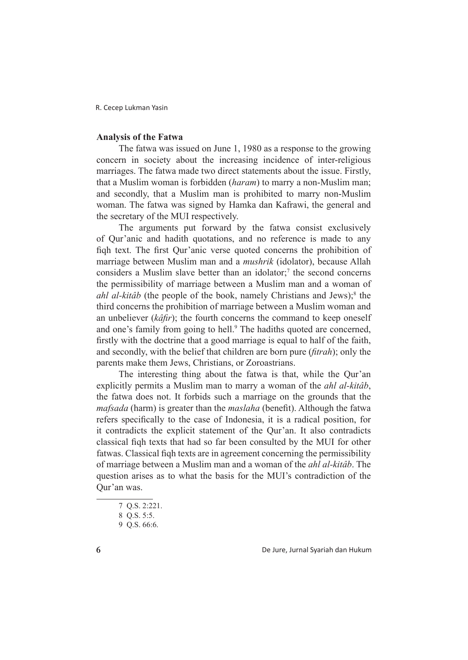### **Analysis of the Fatwa**

The fatwa was issued on June 1, 1980 as a response to the growing concern in society about the increasing incidence of inter-religious marriages. The fatwa made two direct statements about the issue. Firstly, that a Muslim woman is forbidden (*haram*) to marry a non-Muslim man; and secondly, that a Muslim man is prohibited to marry non-Muslim woman. The fatwa was signed by Hamka dan Kafrawi, the general and the secretary of the MUI respectively.

The arguments put forward by the fatwa consist exclusively of Qur'anic and hadith quotations, and no reference is made to any figh text. The first Our'anic verse quoted concerns the prohibition of marriage between Muslim man and a *mushrik* (idolator), because Allah considers a Muslim slave better than an idolator;<sup>7</sup> the second concerns the permissibility of marriage between a Muslim man and a woman of *ahl al-kitâb* (the people of the book, namely Christians and Jews);<sup>8</sup> the third concerns the prohibition of marriage between a Muslim woman and an unbeliever (*kâfir*); the fourth concerns the command to keep oneself and one's family from going to hell.<sup>9</sup> The hadiths quoted are concerned, firstly with the doctrine that a good marriage is equal to half of the faith, and secondly, with the belief that children are born pure *(fitrah)*; only the parents make them Jews, Christians, or Zoroastrians.

The interesting thing about the fatwa is that, while the Qur'an explicitly permits a Muslim man to marry a woman of the *ahl al-kitâb*, the fatwa does not. It forbids such a marriage on the grounds that the *mafsada* (harm) is greater than the *maslaha* (benefit). Although the fatwa refers specifically to the case of Indonesia, it is a radical position, for it contradicts the explicit statement of the Qur'an. It also contradicts classical fight texts that had so far been consulted by the MUI for other fatwas. Classical figh texts are in agreement concerning the permissibility of marriage between a Muslim man and a woman of the *ahl al-kitâb*. The question arises as to what the basis for the MUI's contradiction of the Qur'an was.

De Jure, Jurnal Syariah dan Hukum

<sup>7</sup> Q.S. 2:221.

<sup>8</sup> Q.S. 5:5.

<sup>9</sup> Q.S. 66:6.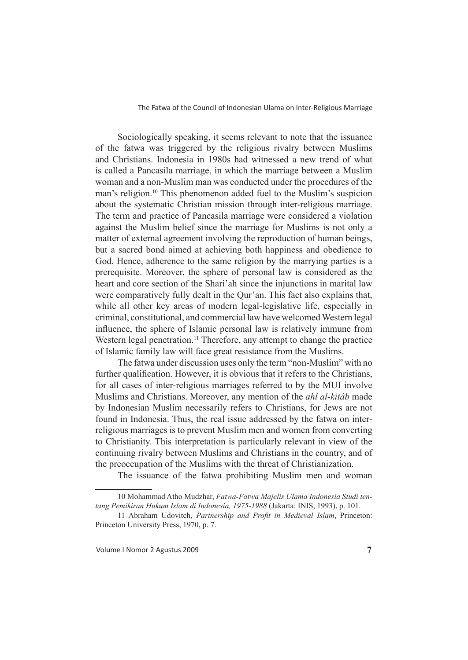Sociologically speaking, it seems relevant to note that the issuance of the fatwa was triggered by the religious rivalry between Muslims and Christians. Indonesia in 1980s had witnessed a new trend of what is called a Pancasila marriage, in which the marriage between a Muslim woman and a non-Muslim man was conducted under the procedures of the man's religion.<sup>10</sup> This phenomenon added fuel to the Muslim's suspicion about the systematic Christian mission through inter-religious marriage. The term and practice of Pancasila marriage were considered a violation against the Muslim belief since the marriage for Muslims is not only a matter of external agreement involving the reproduction of human beings, but a sacred bond aimed at achieving both happiness and obedience to God. Hence, adherence to the same religion by the marrying parties is a prerequisite. Moreover, the sphere of personal law is considered as the heart and core section of the Shari'ah since the injunctions in marital law were comparatively fully dealt in the Qur'an. This fact also explains that, while all other key areas of modern legal-legislative life, especially in criminal, constitutional, and commercial law have welcomed Western legal influence, the sphere of Islamic personal law is relatively immune from Western legal penetration.<sup>11</sup> Therefore, any attempt to change the practice of Islamic family law will face great resistance from the Muslims.

The fatwa under discussion uses only the term "non-Muslim" with no further qualification. However, it is obvious that it refers to the Christians. for all cases of inter-religious marriages referred to by the MUI involve Muslims and Christians. Moreover, any mention of the *ahl al-kitâb* made by Indonesian Muslim necessarily refers to Christians, for Jews are not found in Indonesia. Thus, the real issue addressed by the fatwa on interreligious marriages is to prevent Muslim men and women from converting to Christianity. This interpretation is particularly relevant in view of the continuing rivalry between Muslims and Christians in the country, and of the preoccupation of the Muslims with the threat of Christianization.

The issuance of the fatwa prohibiting Muslim men and woman

<sup>10</sup> Mohammad Atho Mudzhar, *Fatwa-Fatwa Majelis Ulama Indonesia Studi tentang Pemikiran Hukum Islam di Indonesia, 1975-1988* (Jakarta: INIS, 1993), p. 101.

<sup>11</sup> Abraham Udovitch, *Partnership and Profit in Medieval Islam*, Princeton: Princeton University Press, 1970, p. 7.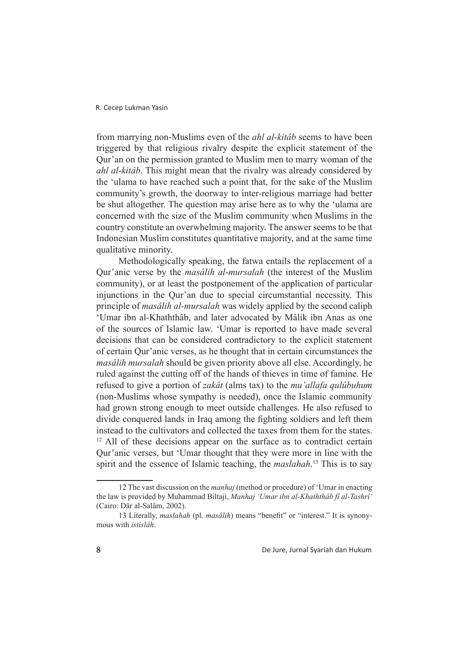from marrying non-Muslims even of the *ahl al-kitâb* seems to have been triggered by that religious rivalry despite the explicit statement of the Qur'an on the permission granted to Muslim men to marry woman of the *ahl al-kitâb*. This might mean that the rivalry was already considered by the 'ulama to have reached such a point that, for the sake of the Muslim community's growth, the doorway to inter-religious marriage had better be shut altogether. The question may arise here as to why the 'ulama are concerned with the size of the Muslim community when Muslims in the country constitute an overwhelming majority. The answer seems to be that Indonesian Muslim constitutes quantitative majority, and at the same time qualitative minority.

Methodologically speaking, the fatwa entails the replacement of a Qur'anic verse by the *masâlih al-mursalah* (the interest of the Muslim community), or at least the postponement of the application of particular injunctions in the Qur'an due to special circumstantial necessity. This principle of *masâlih al-mursalah* was widely applied by the second caliph 'Umar ibn al-Khaththâb, and later advocated by Mâlik ibn Anas as one of the sources of Islamic law. 'Umar is reported to have made several decisions that can be considered contradictory to the explicit statement of certain Qur'anic verses, as he thought that in certain circumstances the *masâlih mursalah* should be given priority above all else. Accordingly, he ruled against the cutting off of the hands of thieves in time of famine. He refused to give a portion of *zakât* (alms tax) to the *mu'allafa qulûbuhum*  (non-Muslims whose sympathy is needed), once the Islamic community had grown strong enough to meet outside challenges. He also refused to divide conquered lands in Iraq among the fighting soldiers and left them instead to the cultivators and collected the taxes from them for the states. <sup>12</sup> All of these decisions appear on the surface as to contradict certain Qur'anic verses, but 'Umar thought that they were more in line with the spirit and the essence of Islamic teaching, the *maslahah*. <sup>13</sup> This is to say

<sup>12</sup> The vast discussion on the *manhaj* (method or procedure) of 'Umar in enacting the law is provided by Muhammad Biltaji, *Manhaj 'Umar ibn al-Khaththâb fî al-Tashrî'* (Cairo: Dâr al-Salâm, 2002).

<sup>13</sup> Literally, *maslahah* (pl. *masâlih*) means "benefit" or "interest." It is synonymous with *istislâh*.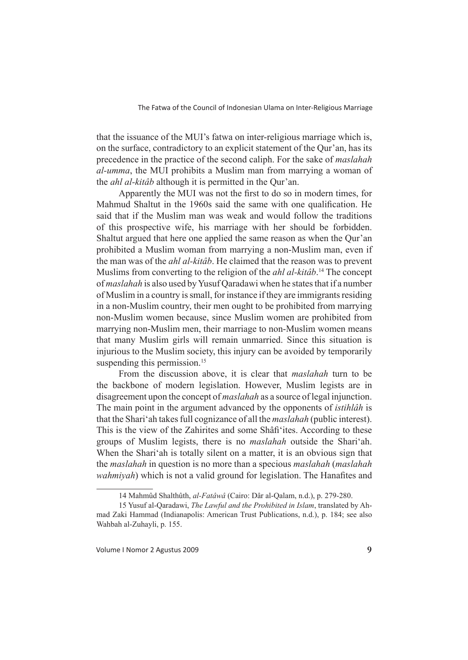that the issuance of the MUI's fatwa on inter-religious marriage which is, on the surface, contradictory to an explicit statement of the Qur'an, has its precedence in the practice of the second caliph. For the sake of *maslahah al-umma*, the MUI prohibits a Muslim man from marrying a woman of the *ahl al-kitâb* although it is permitted in the Qur'an.

Apparently the MUI was not the first to do so in modern times, for Mahmud Shaltut in the 1960s said the same with one qualification. He said that if the Muslim man was weak and would follow the traditions of this prospective wife, his marriage with her should be forbidden. Shaltut argued that here one applied the same reason as when the Qur'an prohibited a Muslim woman from marrying a non-Muslim man, even if the man was of the *ahl al-kitâb*. He claimed that the reason was to prevent Muslims from converting to the religion of the *ahl al-kitâb*. <sup>14</sup> The concept of *maslahah* is also used by Yusuf Qaradawi when he states that if a number of Muslim in a country is small, for instance if they are immigrants residing in a non-Muslim country, their men ought to be prohibited from marrying non-Muslim women because, since Muslim women are prohibited from marrying non-Muslim men, their marriage to non-Muslim women means that many Muslim girls will remain unmarried. Since this situation is injurious to the Muslim society, this injury can be avoided by temporarily suspending this permission.<sup>15</sup>

From the discussion above, it is clear that *maslahah* turn to be the backbone of modern legislation. However, Muslim legists are in disagreement upon the concept of *maslahah* as a source of legal injunction. The main point in the argument advanced by the opponents of *istihlâh* is that the Shari'ah takes full cognizance of all the *maslahah* (public interest). This is the view of the Zahirites and some Shâfi'ites. According to these groups of Muslim legists, there is no *maslahah* outside the Shari'ah. When the Shari'ah is totally silent on a matter, it is an obvious sign that the *maslahah* in question is no more than a specious *maslahah* (*maslahah wahmiyah*) which is not a valid ground for legislation. The Hanafites and

<sup>14</sup> Mahmûd Shalthûth, *al-Fatâwâ* (Cairo: Dâr al-Qalam, n.d.), p. 279-280.

<sup>15</sup> Yusuf al-Qaradawi, *The Lawful and the Prohibited in Islam*, translated by Ahmad Zaki Hammad (Indianapolis: American Trust Publications, n.d.), p. 184; see also Wahbah al-Zuhayli, p. 155.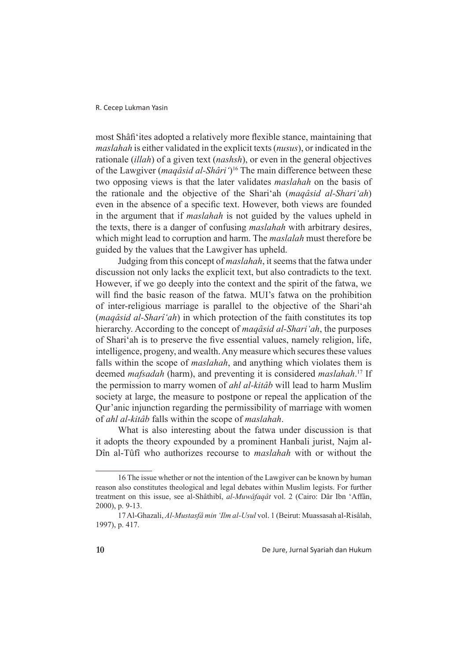most Shâfi'ites adopted a relatively more flexible stance, maintaining that *maslahah* is either validated in the explicit texts (*nusus*), or indicated in the rationale (*illah*) of a given text (*nashsh*), or even in the general objectives of the Lawgiver (*maqâsid al-Shâri'*) <sup>16</sup> The main difference between these two opposing views is that the later validates *maslahah* on the basis of the rationale and the objective of the Shari'ah (*maqâsid al-Shari'ah*) even in the absence of a specific text. However, both views are founded in the argument that if *maslahah* is not guided by the values upheld in the texts, there is a danger of confusing *maslahah* with arbitrary desires, which might lead to corruption and harm. The *maslalah* must therefore be guided by the values that the Lawgiver has upheld.

Judging from this concept of *maslahah*, it seems that the fatwa under discussion not only lacks the explicit text, but also contradicts to the text. However, if we go deeply into the context and the spirit of the fatwa, we will find the basic reason of the fatwa. MUI's fatwa on the prohibition of inter-religious marriage is parallel to the objective of the Shari'ah (*maqâsid al-Sharî'ah*) in which protection of the faith constitutes its top hierarchy. According to the concept of *maqâsid al-Shari'ah*, the purposes of Shari'ah is to preserve the five essential values, namely religion, life, intelligence, progeny, and wealth. Any measure which secures these values falls within the scope of *maslahah*, and anything which violates them is deemed *mafsadah* (harm), and preventing it is considered *maslahah*. <sup>17</sup> If the permission to marry women of *ahl al-kitâb* will lead to harm Muslim society at large, the measure to postpone or repeal the application of the Qur'anic injunction regarding the permissibility of marriage with women of *ahl al-kitâb* falls within the scope of *maslahah*.

What is also interesting about the fatwa under discussion is that it adopts the theory expounded by a prominent Hanbali jurist, Najm al-Dîn al-Tûfî who authorizes recourse to *maslahah* with or without the

<sup>16</sup> The issue whether or not the intention of the Lawgiver can be known by human reason also constitutes theological and legal debates within Muslim legists. For further treatment on this issue, see al-Shâthibî, *al-Muwâfaqât* vol. 2 (Cairo: Dâr Ibn 'Affân, 2000), p. 9-13.

<sup>17</sup> Al-Ghazali, *Al-Mustasfâ min 'Ilm al-Usul* vol. 1 (Beirut: Muassasah al-Risâlah, 1997), p. 417.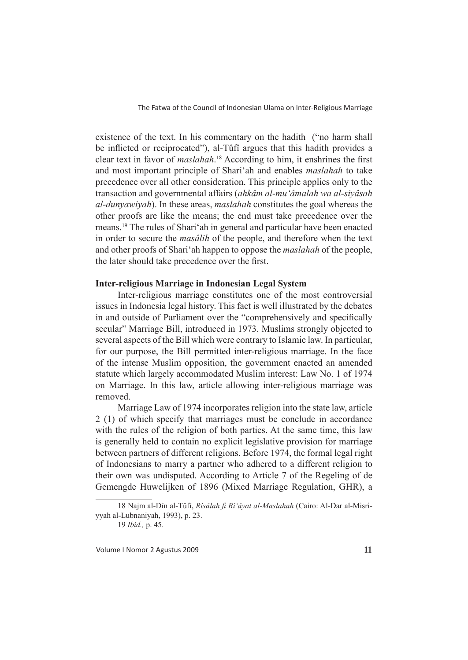existence of the text. In his commentary on the hadith ("no harm shall be inflicted or reciprocated"), al-Tûfî argues that this hadith provides a clear text in favor of *maslahah*.<sup>18</sup> According to him, it enshrines the first and most important principle of Shari'ah and enables *maslahah* to take precedence over all other consideration. This principle applies only to the transaction and governmental affairs (*ahkâm al-mu'âmalah wa al-siyâsah al-dunyawiyah*). In these areas, *maslahah* constitutes the goal whereas the other proofs are like the means; the end must take precedence over the means.<sup>19</sup> The rules of Shari'ah in general and particular have been enacted in order to secure the *masâlih* of the people, and therefore when the text and other proofs of Shari'ah happen to oppose the *maslahah* of the people, the later should take precedence over the first.

# **Inter-religious Marriage in Indonesian Legal System**

Inter-religious marriage constitutes one of the most controversial issues in Indonesia legal history. This fact is well illustrated by the debates in and outside of Parliament over the "comprehensively and specifically secular" Marriage Bill, introduced in 1973. Muslims strongly objected to several aspects of the Bill which were contrary to Islamic law. In particular, for our purpose, the Bill permitted inter-religious marriage. In the face of the intense Muslim opposition, the government enacted an amended statute which largely accommodated Muslim interest: Law No. 1 of 1974 on Marriage. In this law, article allowing inter-religious marriage was removed.

Marriage Law of 1974 incorporates religion into the state law, article 2 (1) of which specify that marriages must be conclude in accordance with the rules of the religion of both parties. At the same time, this law is generally held to contain no explicit legislative provision for marriage between partners of different religions. Before 1974, the formal legal right of Indonesians to marry a partner who adhered to a different religion to their own was undisputed. According to Article 7 of the Regeling of de Gemengde Huwelijken of 1896 (Mixed Marriage Regulation, GHR), a

<sup>18</sup> Najm al-Dîn al-Tûfî, *Risâlah fi Ri'âyat al-Maslahah* (Cairo: Al-Dar al-Misriyyah al-Lubnaniyah, 1993), p. 23.

<sup>19</sup> *Ibid.,* p. 45.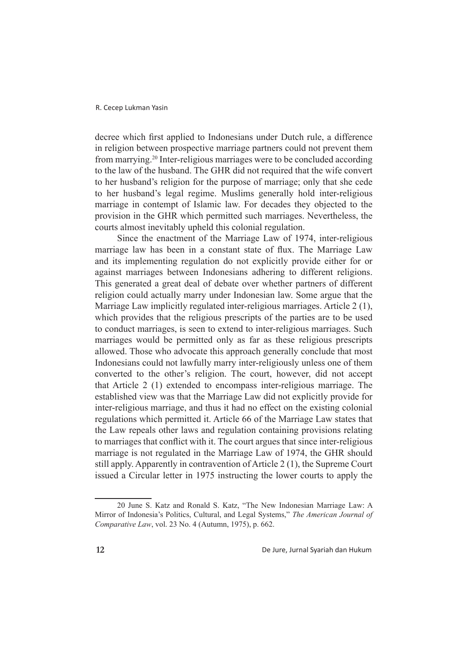decree which first applied to Indonesians under Dutch rule, a difference in religion between prospective marriage partners could not prevent them from marrying.<sup>20</sup> Inter-religious marriages were to be concluded according to the law of the husband. The GHR did not required that the wife convert to her husband's religion for the purpose of marriage; only that she cede to her husband's legal regime. Muslims generally hold inter-religious marriage in contempt of Islamic law. For decades they objected to the provision in the GHR which permitted such marriages. Nevertheless, the courts almost inevitably upheld this colonial regulation.

Since the enactment of the Marriage Law of 1974, inter-religious marriage law has been in a constant state of flux. The Marriage Law and its implementing regulation do not explicitly provide either for or against marriages between Indonesians adhering to different religions. This generated a great deal of debate over whether partners of different religion could actually marry under Indonesian law. Some argue that the Marriage Law implicitly regulated inter-religious marriages. Article 2 (1), which provides that the religious prescripts of the parties are to be used to conduct marriages, is seen to extend to inter-religious marriages. Such marriages would be permitted only as far as these religious prescripts allowed. Those who advocate this approach generally conclude that most Indonesians could not lawfully marry inter-religiously unless one of them converted to the other's religion. The court, however, did not accept that Article 2 (1) extended to encompass inter-religious marriage. The established view was that the Marriage Law did not explicitly provide for inter-religious marriage, and thus it had no effect on the existing colonial regulations which permitted it. Article 66 of the Marriage Law states that the Law repeals other laws and regulation containing provisions relating to marriages that conflict with it. The court argues that since inter-religious marriage is not regulated in the Marriage Law of 1974, the GHR should still apply. Apparently in contravention of Article 2 (1), the Supreme Court issued a Circular letter in 1975 instructing the lower courts to apply the

<sup>20</sup> June S. Katz and Ronald S. Katz, "The New Indonesian Marriage Law: A Mirror of Indonesia's Politics, Cultural, and Legal Systems," *The American Journal of Comparative Law*, vol. 23 No. 4 (Autumn, 1975), p. 662.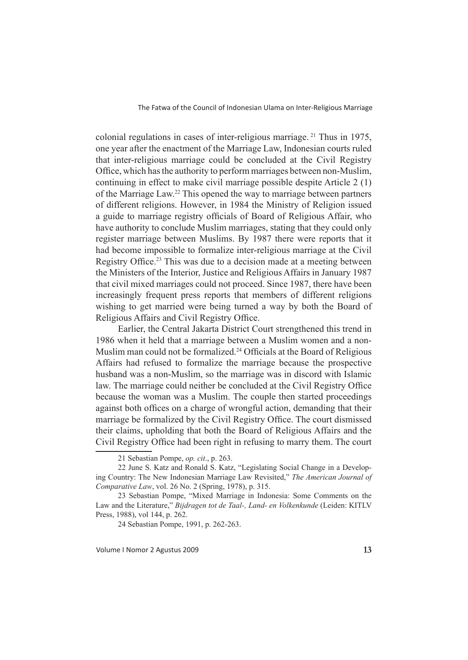colonial regulations in cases of inter-religious marriage.<sup>21</sup> Thus in 1975, one year after the enactment of the Marriage Law, Indonesian courts ruled that inter-religious marriage could be concluded at the Civil Registry Office, which has the authority to perform marriages between non-Muslim, continuing in effect to make civil marriage possible despite Article 2 (1) of the Marriage Law.<sup>22</sup> This opened the way to marriage between partners of different religions. However, in 1984 the Ministry of Religion issued a guide to marriage registry officials of Board of Religious Affair, who have authority to conclude Muslim marriages, stating that they could only register marriage between Muslims. By 1987 there were reports that it had become impossible to formalize inter-religious marriage at the Civil Registry Office.<sup>23</sup> This was due to a decision made at a meeting between the Ministers of the Interior, Justice and Religious Affairs in January 1987 that civil mixed marriages could not proceed. Since 1987, there have been increasingly frequent press reports that members of different religions wishing to get married were being turned a way by both the Board of Religious Affairs and Civil Registry Office.

Earlier, the Central Jakarta District Court strengthened this trend in 1986 when it held that a marriage between a Muslim women and a non-Muslim man could not be formalized.<sup>24</sup> Officials at the Board of Religious Affairs had refused to formalize the marriage because the prospective husband was a non-Muslim, so the marriage was in discord with Islamic law. The marriage could neither be concluded at the Civil Registry Office because the woman was a Muslim. The couple then started proceedings against both offices on a charge of wrongful action, demanding that their marriage be formalized by the Civil Registry Office. The court dismissed their claims, upholding that both the Board of Religious Affairs and the Civil Registry Office had been right in refusing to marry them. The court

<sup>21</sup> Sebastian Pompe, *op. cit*., p. 263.

<sup>22</sup> June S. Katz and Ronald S. Katz, "Legislating Social Change in a Developing Country: The New Indonesian Marriage Law Revisited," *The American Journal of Comparative Law*, vol. 26 No. 2 (Spring, 1978), p. 315.

<sup>23</sup> Sebastian Pompe, "Mixed Marriage in Indonesia: Some Comments on the Law and the Literature," *Bijdragen tot de Taal-, Land- en Volkenkunde* (Leiden: KITLV Press, 1988), vol 144, p. 262.

<sup>24</sup> Sebastian Pompe, 1991, p. 262-263.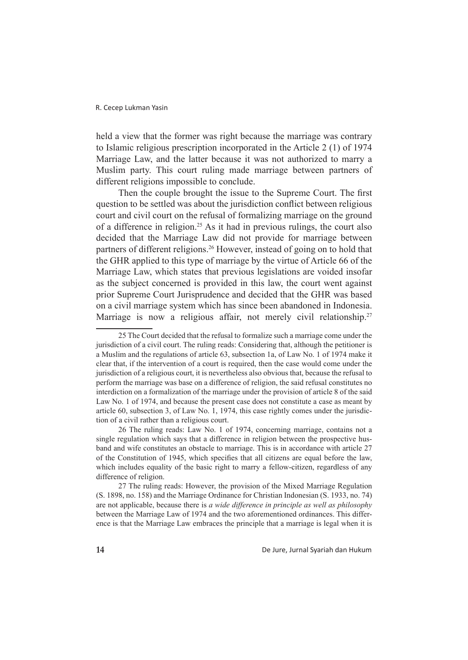held a view that the former was right because the marriage was contrary to Islamic religious prescription incorporated in the Article 2 (1) of 1974 Marriage Law, and the latter because it was not authorized to marry a Muslim party. This court ruling made marriage between partners of different religions impossible to conclude.

Then the couple brought the issue to the Supreme Court. The first question to be settled was about the jurisdiction conflict between religious court and civil court on the refusal of formalizing marriage on the ground of a difference in religion.<sup>25</sup> As it had in previous rulings, the court also decided that the Marriage Law did not provide for marriage between partners of different religions.<sup>26</sup> However, instead of going on to hold that the GHR applied to this type of marriage by the virtue of Article 66 of the Marriage Law, which states that previous legislations are voided insofar as the subject concerned is provided in this law, the court went against prior Supreme Court Jurisprudence and decided that the GHR was based on a civil marriage system which has since been abandoned in Indonesia. Marriage is now a religious affair, not merely civil relationship.<sup>27</sup>

26 The ruling reads: Law No. 1 of 1974, concerning marriage, contains not a single regulation which says that a difference in religion between the prospective husband and wife constitutes an obstacle to marriage. This is in accordance with article 27 of the Constitution of 1945, which specifies that all citizens are equal before the law, which includes equality of the basic right to marry a fellow-citizen, regardless of any difference of religion.

27 The ruling reads: However, the provision of the Mixed Marriage Regulation (S. 1898, no. 158) and the Marriage Ordinance for Christian Indonesian (S. 1933, no. 74) are not applicable, because there is *a wide difference in principle as well as philosophy* between the Marriage Law of 1974 and the two aforementioned ordinances. This difference is that the Marriage Law embraces the principle that a marriage is legal when it is

De Jure, Jurnal Syariah dan Hukum

<sup>25</sup> The Court decided that the refusal to formalize such a marriage come under the jurisdiction of a civil court. The ruling reads: Considering that, although the petitioner is a Muslim and the regulations of article 63, subsection 1a, of Law No. 1 of 1974 make it clear that, if the intervention of a court is required, then the case would come under the jurisdiction of a religious court, it is nevertheless also obvious that, because the refusal to perform the marriage was base on a difference of religion, the said refusal constitutes no interdiction on a formalization of the marriage under the provision of article 8 of the said Law No. 1 of 1974, and because the present case does not constitute a case as meant by article 60, subsection 3, of Law No. 1, 1974, this case rightly comes under the jurisdiction of a civil rather than a religious court.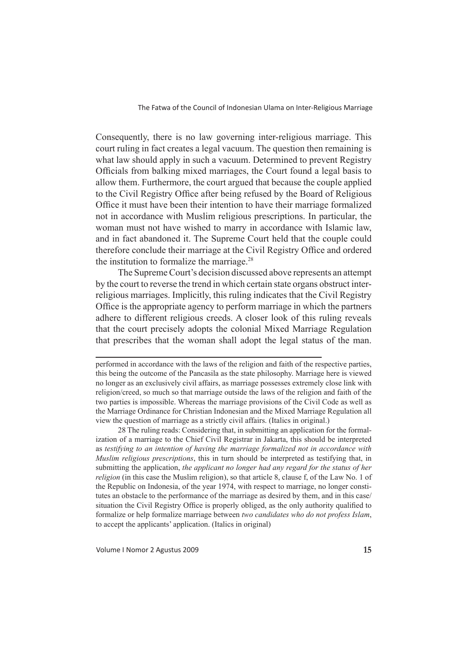Consequently, there is no law governing inter-religious marriage. This court ruling in fact creates a legal vacuum. The question then remaining is what law should apply in such a vacuum. Determined to prevent Registry Officials from balking mixed marriages, the Court found a legal basis to allow them. Furthermore, the court argued that because the couple applied to the Civil Registry Office after being refused by the Board of Religious Office it must have been their intention to have their marriage formalized not in accordance with Muslim religious prescriptions. In particular, the woman must not have wished to marry in accordance with Islamic law, and in fact abandoned it. The Supreme Court held that the couple could therefore conclude their marriage at the Civil Registry Office and ordered the institution to formalize the marriage.<sup>28</sup>

The Supreme Court's decision discussed above represents an attempt by the court to reverse the trend in which certain state organs obstruct interreligious marriages. Implicitly, this ruling indicates that the Civil Registry Office is the appropriate agency to perform marriage in which the partners adhere to different religious creeds. A closer look of this ruling reveals that the court precisely adopts the colonial Mixed Marriage Regulation that prescribes that the woman shall adopt the legal status of the man.

28 The ruling reads: Considering that, in submitting an application for the formalization of a marriage to the Chief Civil Registrar in Jakarta, this should be interpreted as *testifying to an intention of having the marriage formalized not in accordance with Muslim religious prescriptions*, this in turn should be interpreted as testifying that, in submitting the application, *the applicant no longer had any regard for the status of her religion* (in this case the Muslim religion), so that article 8, clause f, of the Law No. 1 of the Republic on Indonesia, of the year 1974, with respect to marriage, no longer constitutes an obstacle to the performance of the marriage as desired by them, and in this case/ situation the Civil Registry Office is properly obliged, as the only authority qualified to formalize or help formalize marriage between *two candidates who do not profess Islam*, to accept the applicants' application. (Italics in original)

performed in accordance with the laws of the religion and faith of the respective parties, this being the outcome of the Pancasila as the state philosophy. Marriage here is viewed no longer as an exclusively civil affairs, as marriage possesses extremely close link with religion/creed, so much so that marriage outside the laws of the religion and faith of the two parties is impossible. Whereas the marriage provisions of the Civil Code as well as the Marriage Ordinance for Christian Indonesian and the Mixed Marriage Regulation all view the question of marriage as a strictly civil affairs. (Italics in original.)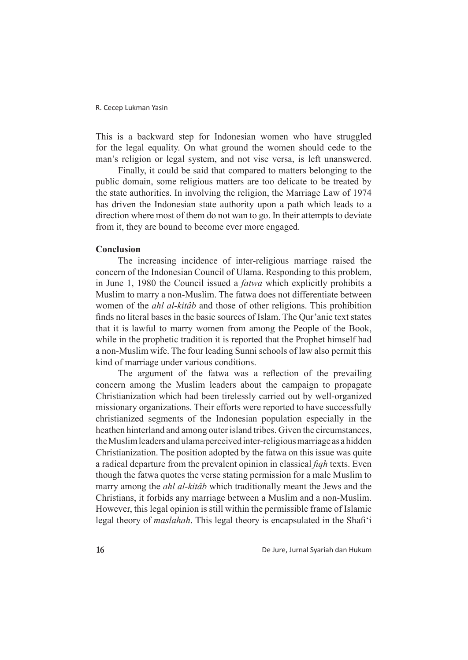This is a backward step for Indonesian women who have struggled for the legal equality. On what ground the women should cede to the man's religion or legal system, and not vise versa, is left unanswered.

Finally, it could be said that compared to matters belonging to the public domain, some religious matters are too delicate to be treated by the state authorities. In involving the religion, the Marriage Law of 1974 has driven the Indonesian state authority upon a path which leads to a direction where most of them do not wan to go. In their attempts to deviate from it, they are bound to become ever more engaged.

# **Conclusion**

The increasing incidence of inter-religious marriage raised the concern of the Indonesian Council of Ulama. Responding to this problem, in June 1, 1980 the Council issued a *fatwa* which explicitly prohibits a Muslim to marry a non-Muslim. The fatwa does not differentiate between women of the *ahl al-kitâb* and those of other religions. This prohibition finds no literal bases in the basic sources of Islam. The Qur'anic text states that it is lawful to marry women from among the People of the Book, while in the prophetic tradition it is reported that the Prophet himself had a non-Muslim wife. The four leading Sunni schools of law also permit this kind of marriage under various conditions.

The argument of the fatwa was a reflection of the prevailing concern among the Muslim leaders about the campaign to propagate Christianization which had been tirelessly carried out by well-organized missionary organizations. Their efforts were reported to have successfully christianized segments of the Indonesian population especially in the heathen hinterland and among outer island tribes. Given the circumstances, the Muslim leaders and ulama perceived inter-religious marriage as a hidden Christianization. The position adopted by the fatwa on this issue was quite a radical departure from the prevalent opinion in classical *figh* texts. Even though the fatwa quotes the verse stating permission for a male Muslim to marry among the *ahl al-kitâb* which traditionally meant the Jews and the Christians, it forbids any marriage between a Muslim and a non-Muslim. However, this legal opinion is still within the permissible frame of Islamic legal theory of *maslahah*. This legal theory is encapsulated in the Shafi'i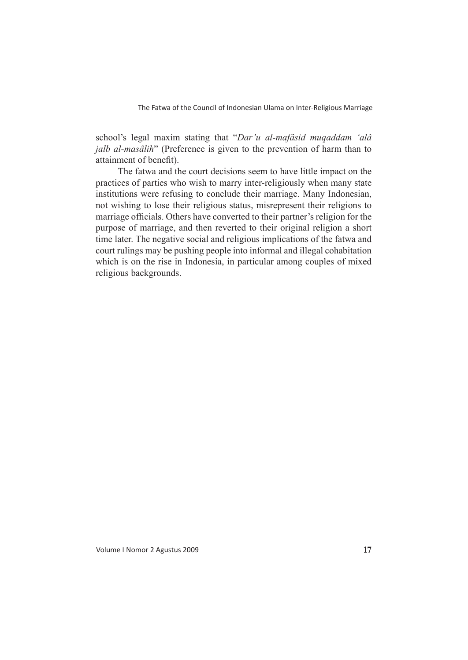school's legal maxim stating that "*Dar'u al-mafâsid muqaddam 'alâ jalb al-masâlih*" (Preference is given to the prevention of harm than to attainment of benefit).

The fatwa and the court decisions seem to have little impact on the practices of parties who wish to marry inter-religiously when many state institutions were refusing to conclude their marriage. Many Indonesian, not wishing to lose their religious status, misrepresent their religions to marriage officials. Others have converted to their partner's religion for the purpose of marriage, and then reverted to their original religion a short time later. The negative social and religious implications of the fatwa and court rulings may be pushing people into informal and illegal cohabitation which is on the rise in Indonesia, in particular among couples of mixed religious backgrounds.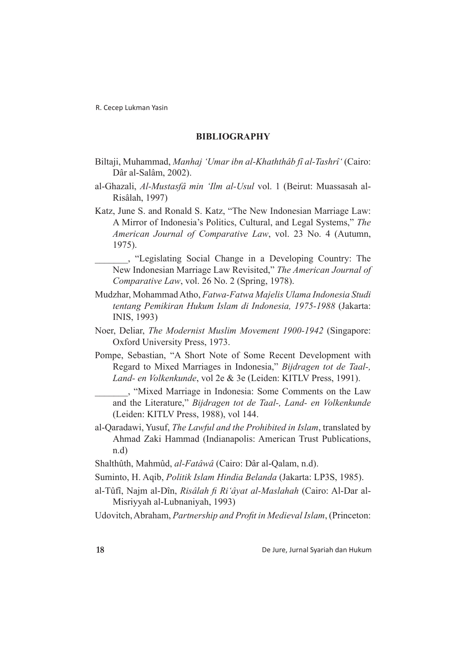# **BIBLIOGRAPHY**

- Biltaji, Muhammad, *Manhaj 'Umar ibn al-Khaththâb fî al-Tashrî'* (Cairo: Dâr al-Salâm, 2002).
- al-Ghazali, *Al-Mustasfâ min 'Ilm al-Usul* vol. 1 (Beirut: Muassasah al-Risâlah, 1997)
- Katz, June S. and Ronald S. Katz, "The New Indonesian Marriage Law: A Mirror of Indonesia's Politics, Cultural, and Legal Systems," *The American Journal of Comparative Law*, vol. 23 No. 4 (Autumn, 1975).
	- \_\_\_\_\_\_\_, "Legislating Social Change in a Developing Country: The New Indonesian Marriage Law Revisited," *The American Journal of Comparative Law*, vol. 26 No. 2 (Spring, 1978).
- Mudzhar, Mohammad Atho, *Fatwa-Fatwa Majelis Ulama Indonesia Studi tentang Pemikiran Hukum Islam di Indonesia, 1975-1988* (Jakarta: INIS, 1993)
- Noer, Deliar, *The Modernist Muslim Movement 1900-1942* (Singapore: Oxford University Press, 1973.
- Pompe, Sebastian, "A Short Note of Some Recent Development with Regard to Mixed Marriages in Indonesia," *Bijdragen tot de Taal-, Land- en Volkenkunde*, vol 2e & 3e (Leiden: KITLV Press, 1991).
	- \_\_\_\_\_\_\_, "Mixed Marriage in Indonesia: Some Comments on the Law and the Literature," *Bijdragen tot de Taal-, Land- en Volkenkunde* (Leiden: KITLV Press, 1988), vol 144.
- al-Qaradawi, Yusuf, *The Lawful and the Prohibited in Islam*, translated by Ahmad Zaki Hammad (Indianapolis: American Trust Publications, n.d)
- Shalthûth, Mahmûd, *al-Fatâwâ* (Cairo: Dâr al-Qalam, n.d).
- Suminto, H. Aqib, *Politik Islam Hindia Belanda* (Jakarta: LP3S, 1985).
- al-Tûfî, Najm al-Dîn, *Risâlah fi Ri'âyat al-Maslahah* (Cairo: Al-Dar al-Misriyyah al-Lubnaniyah, 1993)
- Udovitch, Abraham, *Partnership and Profit in Medieval Islam*, (Princeton: